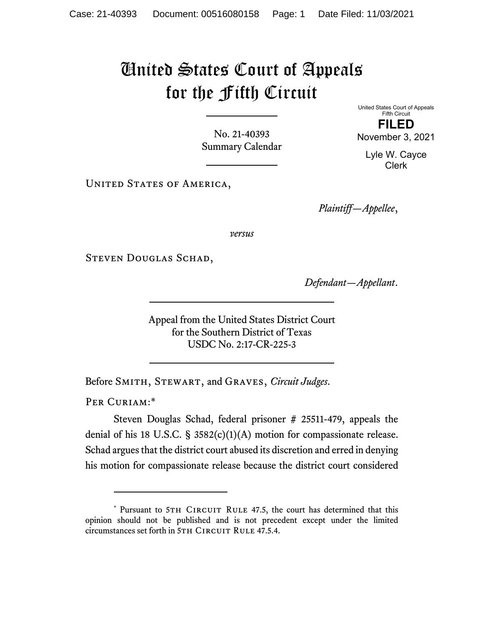## United States Court of Appeals for the Fifth Circuit

No. 21-40393 Summary Calendar

Fifth Circuit **FILED**  November 3, 2021

United States Court of Appeals

Lyle W. Cayce Clerk

UNITED STATES OF AMERICA,

*Plaintiff—Appellee*,

*versus*

Steven Douglas Schad,

*Defendant—Appellant*.

Appeal from the United States District Court for the Southern District of Texas USDC No. 2:17-CR-225-3

Before Smith, Stewart, and Graves, *Circuit Judges*.

PER CURIAM:\*

Steven Douglas Schad, federal prisoner # 25511-479, appeals the denial of his 18 U.S.C.  $\S$  3582(c)(1)(A) motion for compassionate release. Schad argues that the district court abused its discretion and erred in denying his motion for compassionate release because the district court considered

<sup>\*</sup> Pursuant to 5TH CIRCUIT RULE 47.5, the court has determined that this opinion should not be published and is not precedent except under the limited circumstances set forth in 5TH CIRCUIT RULE 47.5.4.